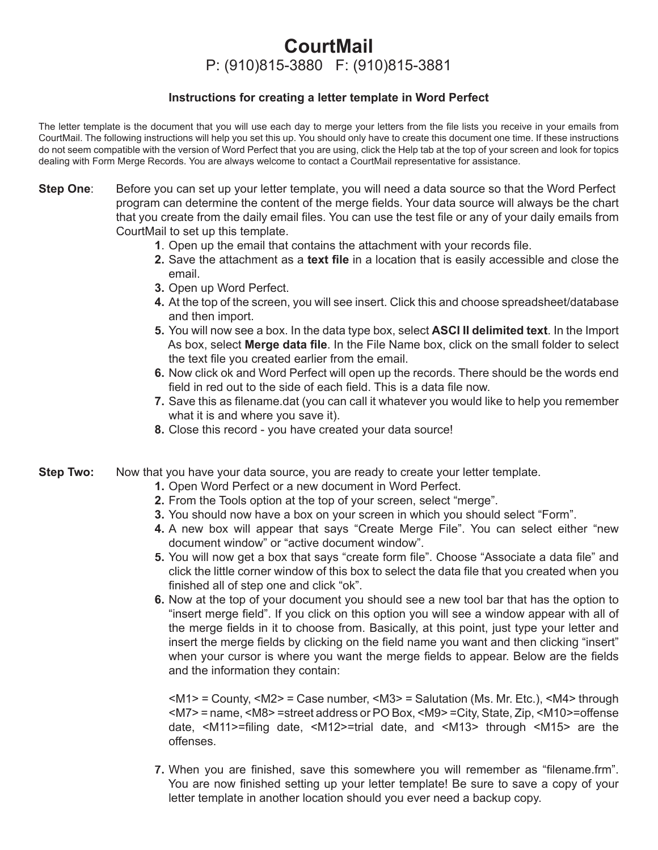# **CourtMail** P: (910)815-3880 F: (910)815-3881

# **Instructions for creating a letter template in Word Perfect**

The letter template is the document that you will use each day to merge your letters from the file lists you receive in your emails from CourtMail. The following instructions will help you set this up. You should only have to create this document one time. If these instructions do not seem compatible with the version of Word Perfect that you are using, click the Help tab at the top of your screen and look for topics dealing with Form Merge Records. You are always welcome to contact a CourtMail representative for assistance.

- **Step One:** Before you can set up your letter template, you will need a data source so that the Word Perfect program can determine the content of the merge fields. Your data source will always be the chart that you create from the daily email files. You can use the test file or any of your daily emails from CourtMail to set up this template.
	- **1.** Open up the email that contains the attachment with your records file.
	- **2.** Save the attachment as a **text file** in a location that is easily accessible and close the email.
	- **3.** Open up Word Perfect.
	- **4.** At the top of the screen, you will see insert. Click this and choose spreadsheet/database and then import.
	- **5.** You will now see a box. In the data type box, select **ASCI II delimited text**. In the Import As box, select **Merge data file**. In the File Name box, click on the small folder to select the text file you created earlier from the email.
	- **6.** Now click ok and Word Perfect will open up the records. There should be the words end field in red out to the side of each field. This is a data file now.
	- **7.** Save this as filename.dat (you can call it whatever you would like to help you remember what it is and where you save it).
	- **8.** Close this record you have created your data source!
- **Step Two:** Now that you have your data source, you are ready to create your letter template.
	- **1.** Open Word Perfect or a new document in Word Perfect.
	- **2.** From the Tools option at the top of your screen, select "merge".
	- **3.** You should now have a box on your screen in which you should select "Form".
	- **4.** A new box will appear that says "Create Merge File". You can select either "new document window" or "active document window".
	- **5.** You will now get a box that says "create form file". Choose "Associate a data file" and click the little corner window of this box to select the data file that you created when you finished all of step one and click "ok".
	- **6.** Now at the top of your document you should see a new tool bar that has the option to "insert merge field". If you click on this option you will see a window appear with all of the merge fields in it to choose from. Basically, at this point, just type your letter and insert the merge fields by clicking on the field name you want and then clicking "insert" when your cursor is where you want the merge fields to appear. Below are the fields and the information they contain:

 $|M1\rangle$  = County,  $|M2\rangle$  = Case number,  $|M3\rangle$  = Salutation (Ms. Mr. Etc.),  $|M4\rangle$  through <M7> = name, <M8> =street address or PO Box, <M9> =City, State, Zip, <M10>=offense date,  $\leq M11$  >=filing date,  $\leq M12$  >=trial date, and  $\leq M13$  through  $\leq M15$  are the offenses.

**7.** When you are finished, save this somewhere you will remember as "filename.frm". You are now finished setting up your letter template! Be sure to save a copy of your letter template in another location should you ever need a backup copy.